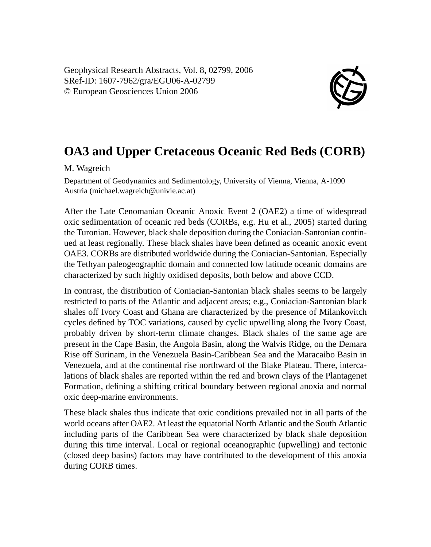Geophysical Research Abstracts, Vol. 8, 02799, 2006 SRef-ID: 1607-7962/gra/EGU06-A-02799 © European Geosciences Union 2006



## **OA3 and Upper Cretaceous Oceanic Red Beds (CORB)**

M. Wagreich

Department of Geodynamics and Sedimentology, University of Vienna, Vienna, A-1090 Austria (michael.wagreich@univie.ac.at)

After the Late Cenomanian Oceanic Anoxic Event 2 (OAE2) a time of widespread oxic sedimentation of oceanic red beds (CORBs, e.g. Hu et al., 2005) started during the Turonian. However, black shale deposition during the Coniacian-Santonian continued at least regionally. These black shales have been defined as oceanic anoxic event OAE3. CORBs are distributed worldwide during the Coniacian-Santonian. Especially the Tethyan paleogeographic domain and connected low latitude oceanic domains are characterized by such highly oxidised deposits, both below and above CCD.

In contrast, the distribution of Coniacian-Santonian black shales seems to be largely restricted to parts of the Atlantic and adjacent areas; e.g., Coniacian-Santonian black shales off Ivory Coast and Ghana are characterized by the presence of Milankovitch cycles defined by TOC variations, caused by cyclic upwelling along the Ivory Coast, probably driven by short-term climate changes. Black shales of the same age are present in the Cape Basin, the Angola Basin, along the Walvis Ridge, on the Demara Rise off Surinam, in the Venezuela Basin-Caribbean Sea and the Maracaibo Basin in Venezuela, and at the continental rise northward of the Blake Plateau. There, intercalations of black shales are reported within the red and brown clays of the Plantagenet Formation, defining a shifting critical boundary between regional anoxia and normal oxic deep-marine environments.

These black shales thus indicate that oxic conditions prevailed not in all parts of the world oceans after OAE2. At least the equatorial North Atlantic and the South Atlantic including parts of the Caribbean Sea were characterized by black shale deposition during this time interval. Local or regional oceanographic (upwelling) and tectonic (closed deep basins) factors may have contributed to the development of this anoxia during CORB times.